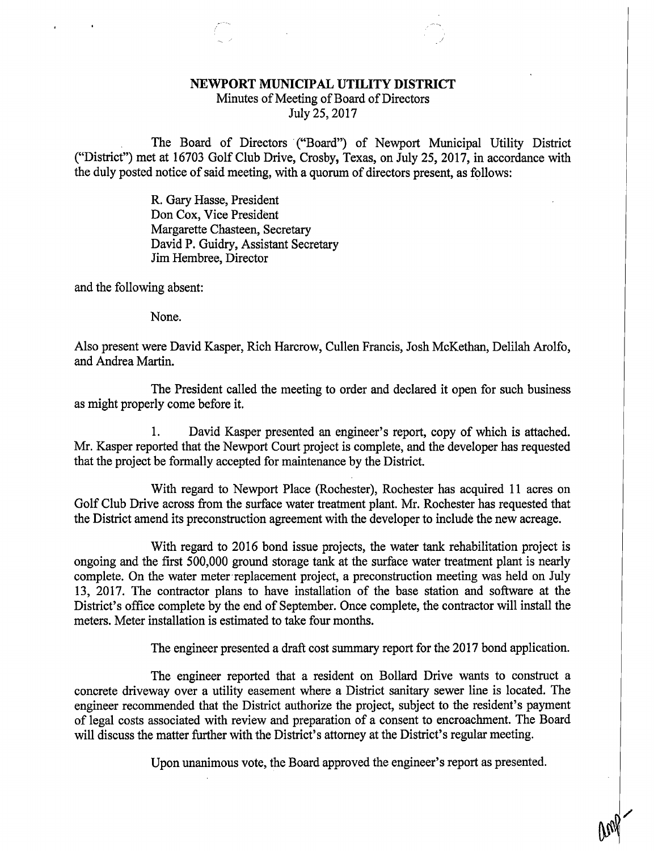## NEWPORT MUNICIPAL UTILITY DISTRICT

## Minutes of Meeting of Board of Directors July 25, 2017

The Board of Directors ("Board") of Newport Municipal Utility District ("District") met at 16703 Golf Club Drive, Crosby, Texas, on July 25, 2017, in accordance with the duly posted notice of said meeting, with a quorum of directors present, as follows:

> R. Gary Hasse, President Don Cox, Vice President Margarette Chasteen, Secretary David P. Guidry, Assistant Secretary Jim Hembree, Director

and the following absent:

None.

Also present were David Kasper, Rich Harcrow, Cullen Francis, Josh McKethan, Delilah Arolfo, and Andrea Martin.

The President called the meeting to order and declared it open for such business as might properly come before it.

1. David Kasper presented an engineer's report, copy of which is attached. Mr. Kasper reported that the Newport Court project is complete, and the developer has requested that the project be formally accepted for maintenance by the District.

With regard to Newport Place (Rochester), Rochester has acquired 11 acres on Golf Club Drive across from the surface water treatment plant. Mr. Rochester has requested that the District amend its preconstruction agreement with the developer to include the new acreage.

With regard to 2016 bond issue projects, the water tank rehabilitation project is ongoing and the first 500,000 ground storage tank at the surface water treatment plant is nearly complete. On the water meter replacement project, a preconstruction meeting was held on July 13, 2017. The contractor plans to have installation of the base station and software at the District's office complete by the end of September. Once complete, the contractor will install the meters. Meter installation is estimated to take four months.

The engineer presented a draft cost summary report for the 2017 bond application.

The engineer reported that a resident on Bollard Drive wants to construct a concrete driveway over a utility easement where a District sanitary sewer line is located. The engineer recommended that the District authorize the project, subject to the resident's payment of legal costs associated with review and preparation of a consent to encroachment. The Board will discuss the matter further with the District's attorney at the District's regular meeting.

Upon unanimous vote, the Board approved the engineer's report as presented.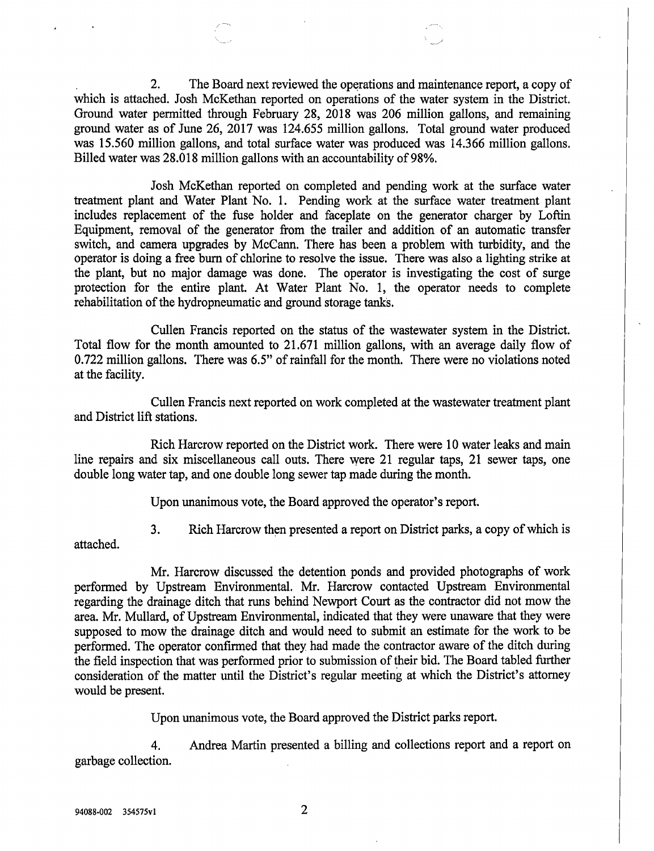2. The Board next reviewed the operations and maintenance report, a copy of which is attached. Josh McKethan reported on operations of the water system in the District. Ground water permitted through February 28, 2018 was 206 million gallons, and remaining ground water as of June 26, 2017 was 124.655 million gallons. Total ground water produced was 15.560 million gallons, and total surface water was produced was 14.366 million gallons. Billed water was 28.018 million gallons with an accountability of 98%.

Josh McKethan reported on completed and pending work at the surface water treatment plant and Water Plant No. 1. Pending work at the surface water treatment plant includes replacement of the fuse holder and faceplate on the generator charger by Loftin Equipment, removal of the generator from the trailer and addition of an automatic transfer switch, and camera upgrades by McCann. There has been a problem with turbidity, and the operator is doing a free burn of chlorine to resolve the issue. There was also a lighting strike at the plant, but no major damage was done. The operator is investigating the cost of surge protection for the entire plant. At Water Plant No. 1, the operator needs to complete rehabilitation of the hydropneumatic and ground storage tanks.

Cullen Francis reported on the status of the wastewater system in the District. Total flow for the month amounted to 21.671 million gallons, with an average daily flow of 0.722 million gallons. There was 6.5" of rainfall for the month. There were no violations noted at the facility.

Cullen Francis next reported on work completed at the wastewater treatment plant and District lift stations.

Rich Harcrow reported on the District work. There were 10 water leaks and main line repairs and six miscellaneous call outs. There were 21 regular taps, 21 sewer taps, one double long water tap, and one double long sewer tap made during the month.

Upon unanimous vote, the Board approved the operator's report.

3. Rich Harcrow then presented a report on District parks, a copy of which is

attached.

Mr. Harcrow discussed the detention ponds and provided photographs of work performed by Upstream Environmental. Mr. Harcrow contacted Upstream Environmental regarding the drainage ditch that runs behind Newport Court as the contractor did not mow the area. Mr. Mullard, of Upstream Environmental, indicated that they were unaware that they were supposed to mow the drainage ditch and would need to submit an estimate for the work to be performed. The operator confirmed that they had made the contractor aware of the ditch during the field inspection that was performed prior to submission of their bid. The Board tabled further consideration of the matter until the District's regular meeting at which the District's attorney would be present.

Upon unanimous vote, the Board approved the District parks report.

4. Andrea Martin presented a billing and collections report and a report on garbage collection.